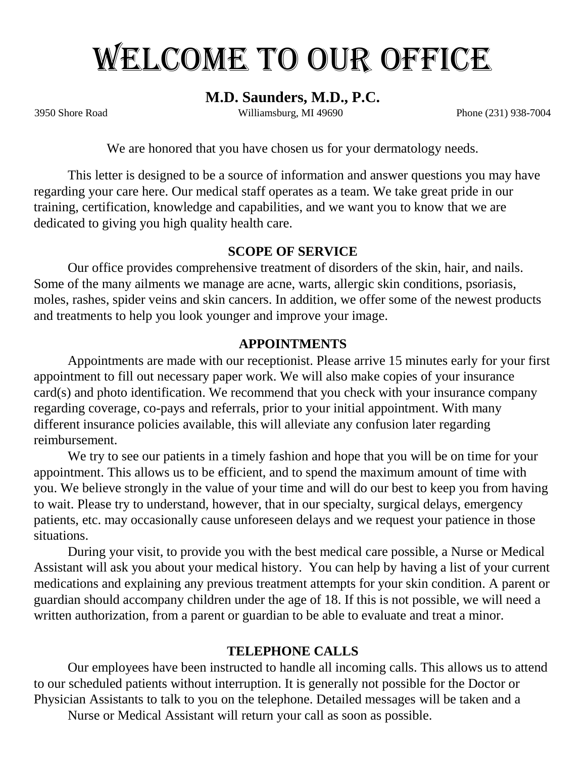# WELCOME TO OUR OFFICE

# **M.D. Saunders, M.D., P.C.**

3950 Shore Road Williamsburg, MI 49690 Phone (231) 938-7004

We are honored that you have chosen us for your dermatology needs.

This letter is designed to be a source of information and answer questions you may have regarding your care here. Our medical staff operates as a team. We take great pride in our training, certification, knowledge and capabilities, and we want you to know that we are dedicated to giving you high quality health care.

## **SCOPE OF SERVICE**

Our office provides comprehensive treatment of disorders of the skin, hair, and nails. Some of the many ailments we manage are acne, warts, allergic skin conditions, psoriasis, moles, rashes, spider veins and skin cancers. In addition, we offer some of the newest products and treatments to help you look younger and improve your image.

## **APPOINTMENTS**

Appointments are made with our receptionist. Please arrive 15 minutes early for your first appointment to fill out necessary paper work. We will also make copies of your insurance card(s) and photo identification. We recommend that you check with your insurance company regarding coverage, co-pays and referrals, prior to your initial appointment. With many different insurance policies available, this will alleviate any confusion later regarding reimbursement.

We try to see our patients in a timely fashion and hope that you will be on time for your appointment. This allows us to be efficient, and to spend the maximum amount of time with you. We believe strongly in the value of your time and will do our best to keep you from having to wait. Please try to understand, however, that in our specialty, surgical delays, emergency patients, etc. may occasionally cause unforeseen delays and we request your patience in those situations.

During your visit, to provide you with the best medical care possible, a Nurse or Medical Assistant will ask you about your medical history. You can help by having a list of your current medications and explaining any previous treatment attempts for your skin condition. A parent or guardian should accompany children under the age of 18. If this is not possible, we will need a written authorization, from a parent or guardian to be able to evaluate and treat a minor.

# **TELEPHONE CALLS**

Our employees have been instructed to handle all incoming calls. This allows us to attend to our scheduled patients without interruption. It is generally not possible for the Doctor or Physician Assistants to talk to you on the telephone. Detailed messages will be taken and a

Nurse or Medical Assistant will return your call as soon as possible.